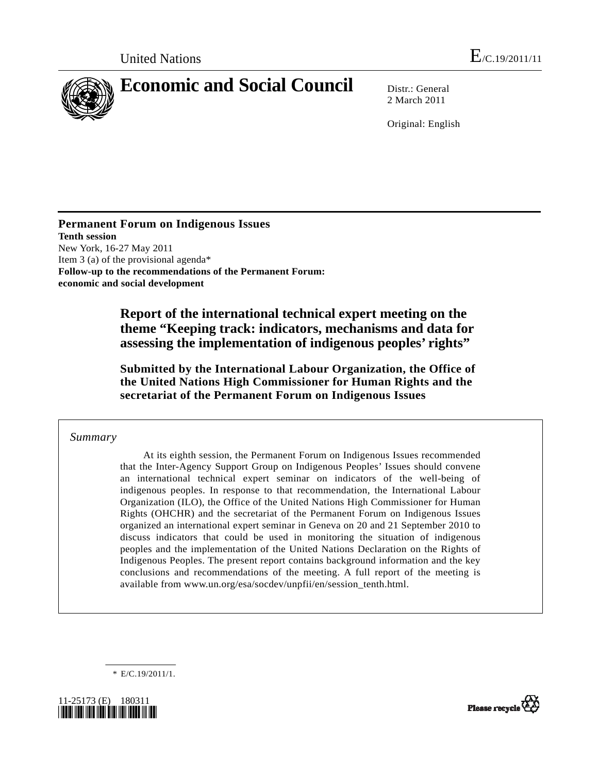

2 March 2011

Original: English

**Permanent Forum on Indigenous Issues Tenth session**  New York, 16-27 May 2011 Item 3 (a) of the provisional agenda\* **Follow-up to the recommendations of the Permanent Forum: economic and social development** 

> **Report of the international technical expert meeting on the theme "Keeping track: indicators, mechanisms and data for assessing the implementation of indigenous peoples' rights"**

> **Submitted by the International Labour Organization, the Office of the United Nations High Commissioner for Human Rights and the secretariat of the Permanent Forum on Indigenous Issues**

#### *Summary*

 At its eighth session, the Permanent Forum on Indigenous Issues recommended that the Inter-Agency Support Group on Indigenous Peoples' Issues should convene an international technical expert seminar on indicators of the well-being of indigenous peoples. In response to that recommendation, the International Labour Organization (ILO), the Office of the United Nations High Commissioner for Human Rights (OHCHR) and the secretariat of the Permanent Forum on Indigenous Issues organized an international expert seminar in Geneva on 20 and 21 September 2010 to discuss indicators that could be used in monitoring the situation of indigenous peoples and the implementation of the United Nations Declaration on the Rights of Indigenous Peoples. The present report contains background information and the key conclusions and recommendations of the meeting. A full report of the meeting is available from www.un.org/esa/socdev/unpfii/en/session\_tenth.html.

\* E/C.19/2011/1.



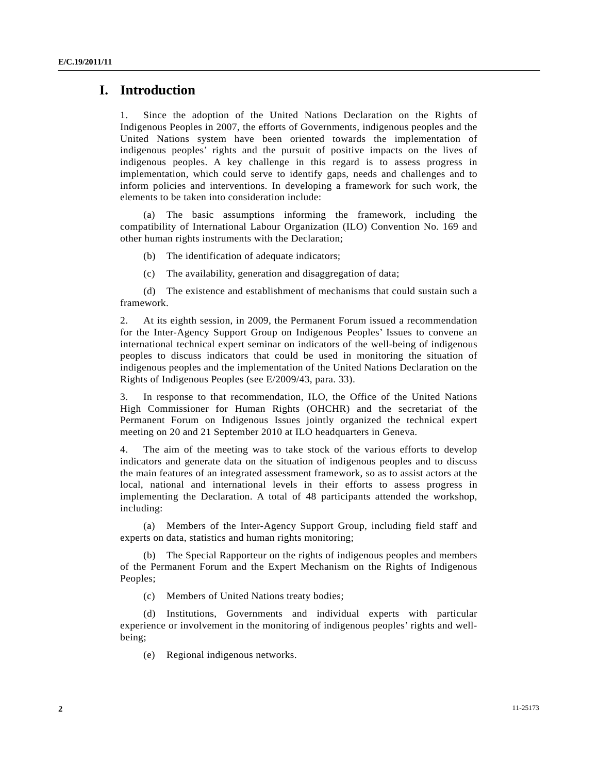## **I. Introduction**

1. Since the adoption of the United Nations Declaration on the Rights of Indigenous Peoples in 2007, the efforts of Governments, indigenous peoples and the United Nations system have been oriented towards the implementation of indigenous peoples' rights and the pursuit of positive impacts on the lives of indigenous peoples. A key challenge in this regard is to assess progress in implementation, which could serve to identify gaps, needs and challenges and to inform policies and interventions. In developing a framework for such work, the elements to be taken into consideration include:

 (a) The basic assumptions informing the framework, including the compatibility of International Labour Organization (ILO) Convention No. 169 and other human rights instruments with the Declaration;

(b) The identification of adequate indicators;

(c) The availability, generation and disaggregation of data;

 (d) The existence and establishment of mechanisms that could sustain such a framework.

2. At its eighth session, in 2009, the Permanent Forum issued a recommendation for the Inter-Agency Support Group on Indigenous Peoples' Issues to convene an international technical expert seminar on indicators of the well-being of indigenous peoples to discuss indicators that could be used in monitoring the situation of indigenous peoples and the implementation of the United Nations Declaration on the Rights of Indigenous Peoples (see E/2009/43, para. 33).

3. In response to that recommendation, ILO, the Office of the United Nations High Commissioner for Human Rights (OHCHR) and the secretariat of the Permanent Forum on Indigenous Issues jointly organized the technical expert meeting on 20 and 21 September 2010 at ILO headquarters in Geneva.

4. The aim of the meeting was to take stock of the various efforts to develop indicators and generate data on the situation of indigenous peoples and to discuss the main features of an integrated assessment framework, so as to assist actors at the local, national and international levels in their efforts to assess progress in implementing the Declaration. A total of 48 participants attended the workshop, including:

 (a) Members of the Inter-Agency Support Group, including field staff and experts on data, statistics and human rights monitoring;

 (b) The Special Rapporteur on the rights of indigenous peoples and members of the Permanent Forum and the Expert Mechanism on the Rights of Indigenous Peoples;

(c) Members of United Nations treaty bodies;

 (d) Institutions, Governments and individual experts with particular experience or involvement in the monitoring of indigenous peoples' rights and wellbeing;

(e) Regional indigenous networks.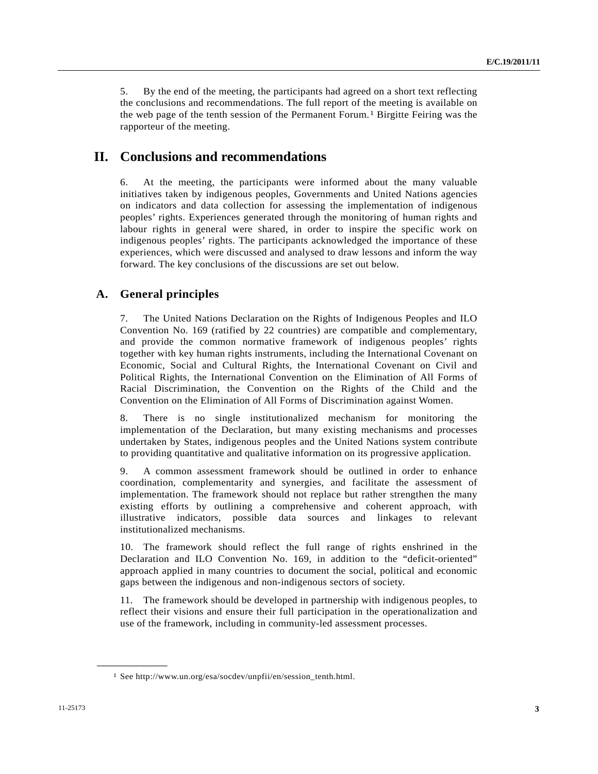5. By the end of the meeting, the participants had agreed on a short text reflecting the conclusions and recommendations. The full report of the meeting is available on the web page of the tenth session of the Permanent Forum.[1](#page-2-0) Birgitte Feiring was the rapporteur of the meeting.

# **II. Conclusions and recommendations**

6. At the meeting, the participants were informed about the many valuable initiatives taken by indigenous peoples, Governments and United Nations agencies on indicators and data collection for assessing the implementation of indigenous peoples' rights. Experiences generated through the monitoring of human rights and labour rights in general were shared, in order to inspire the specific work on indigenous peoples' rights. The participants acknowledged the importance of these experiences, which were discussed and analysed to draw lessons and inform the way forward. The key conclusions of the discussions are set out below.

#### **A. General principles**

7. The United Nations Declaration on the Rights of Indigenous Peoples and ILO Convention No. 169 (ratified by 22 countries) are compatible and complementary, and provide the common normative framework of indigenous peoples' rights together with key human rights instruments, including the International Covenant on Economic, Social and Cultural Rights, the International Covenant on Civil and Political Rights, the International Convention on the Elimination of All Forms of Racial Discrimination, the Convention on the Rights of the Child and the Convention on the Elimination of All Forms of Discrimination against Women.

8. There is no single institutionalized mechanism for monitoring the implementation of the Declaration, but many existing mechanisms and processes undertaken by States, indigenous peoples and the United Nations system contribute to providing quantitative and qualitative information on its progressive application.

9. A common assessment framework should be outlined in order to enhance coordination, complementarity and synergies, and facilitate the assessment of implementation. The framework should not replace but rather strengthen the many existing efforts by outlining a comprehensive and coherent approach, with illustrative indicators, possible data sources and linkages to relevant institutionalized mechanisms.

10. The framework should reflect the full range of rights enshrined in the Declaration and ILO Convention No. 169, in addition to the "deficit-oriented" approach applied in many countries to document the social, political and economic gaps between the indigenous and non-indigenous sectors of society.

11. The framework should be developed in partnership with indigenous peoples, to reflect their visions and ensure their full participation in the operationalization and use of the framework, including in community-led assessment processes.

<span id="page-2-0"></span>**\_\_\_\_\_\_\_\_\_\_\_\_\_\_\_\_\_\_** 

<sup>1</sup> See http://www.un.org/esa/socdev/unpfii/en/session\_tenth.html.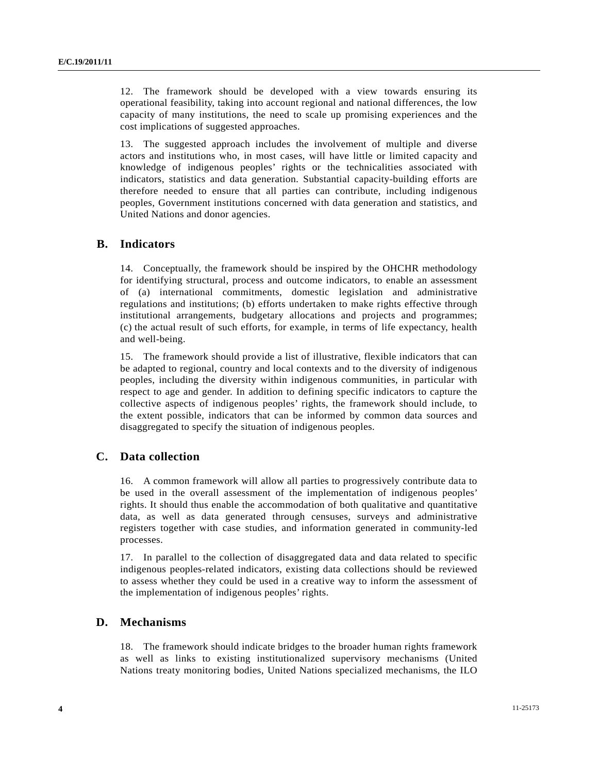12. The framework should be developed with a view towards ensuring its operational feasibility, taking into account regional and national differences, the low capacity of many institutions, the need to scale up promising experiences and the cost implications of suggested approaches.

13. The suggested approach includes the involvement of multiple and diverse actors and institutions who, in most cases, will have little or limited capacity and knowledge of indigenous peoples' rights or the technicalities associated with indicators, statistics and data generation. Substantial capacity-building efforts are therefore needed to ensure that all parties can contribute, including indigenous peoples, Government institutions concerned with data generation and statistics, and United Nations and donor agencies.

#### **B. Indicators**

14. Conceptually, the framework should be inspired by the OHCHR methodology for identifying structural, process and outcome indicators, to enable an assessment of (a) international commitments, domestic legislation and administrative regulations and institutions; (b) efforts undertaken to make rights effective through institutional arrangements, budgetary allocations and projects and programmes; (c) the actual result of such efforts, for example, in terms of life expectancy, health and well-being.

15. The framework should provide a list of illustrative, flexible indicators that can be adapted to regional, country and local contexts and to the diversity of indigenous peoples, including the diversity within indigenous communities, in particular with respect to age and gender. In addition to defining specific indicators to capture the collective aspects of indigenous peoples' rights, the framework should include, to the extent possible, indicators that can be informed by common data sources and disaggregated to specify the situation of indigenous peoples.

## **C. Data collection**

16. A common framework will allow all parties to progressively contribute data to be used in the overall assessment of the implementation of indigenous peoples' rights. It should thus enable the accommodation of both qualitative and quantitative data, as well as data generated through censuses, surveys and administrative registers together with case studies, and information generated in community-led processes.

17. In parallel to the collection of disaggregated data and data related to specific indigenous peoples-related indicators, existing data collections should be reviewed to assess whether they could be used in a creative way to inform the assessment of the implementation of indigenous peoples' rights.

## **D. Mechanisms**

18. The framework should indicate bridges to the broader human rights framework as well as links to existing institutionalized supervisory mechanisms (United Nations treaty monitoring bodies, United Nations specialized mechanisms, the ILO